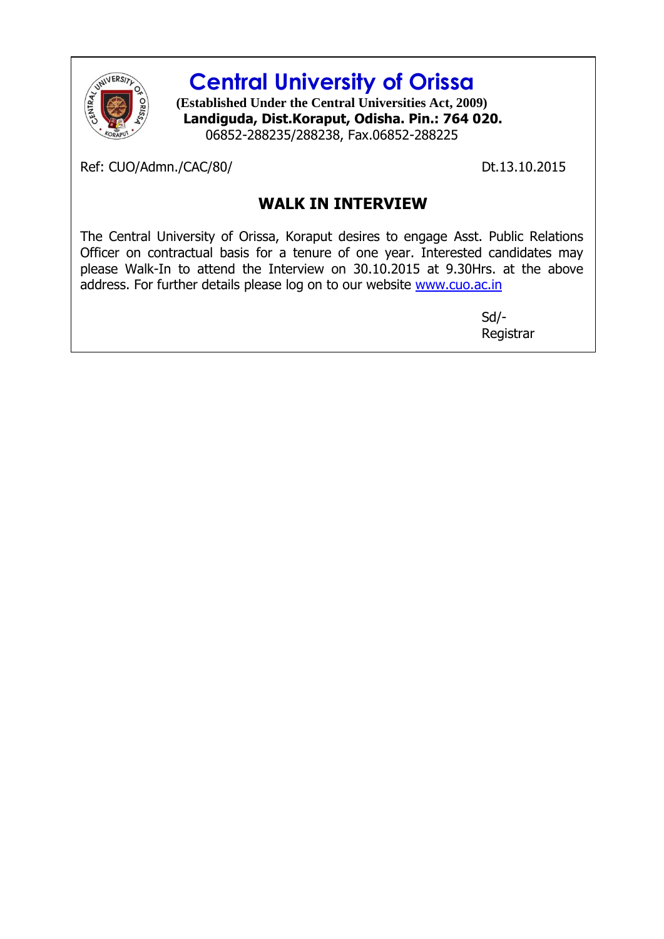

## **Central University of Orissa**

**(Established Under the Central Universities Act, 2009) Landiguda, Dist.Koraput, Odisha. Pin.: 764 020.** 06852-288235/288238, Fax.06852-288225

Ref: CUO/Admn./CAC/80/ Dt.13.10.2015

## **WALK IN INTERVIEW**

The Central University of Orissa, Koraput desires to engage Asst. Public Relations Officer on contractual basis for a tenure of one year. Interested candidates may please Walk-In to attend the Interview on 30.10.2015 at 9.30Hrs. at the above address. For further details please log on to our website [www.cuo.ac.in](http://www.cuo.ac.in/)

> Sd/- Registrar